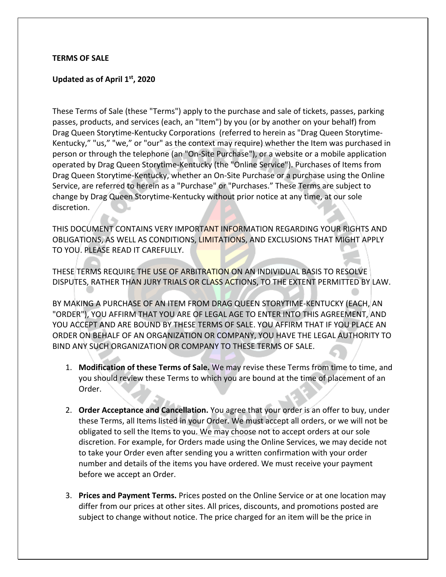### **TERMS OF SALE**

## **Updated as of April 1st, 2020**

These Terms of Sale (these "Terms") apply to the purchase and sale of tickets, passes, parking passes, products, and services (each, an "Item") by you (or by another on your behalf) from Drag Queen Storytime-Kentucky Corporations (referred to herein as "Drag Queen Storytime-Kentucky," "us," "we," or "our" as the context may require) whether the Item was purchased in person or through the telephone (an "On-Site Purchase"), or a website or a mobile application operated by Drag Queen Storytime-Kentucky (the "Online Service"). Purchases of Items from Drag Queen Storytime-Kentucky, whether an On-Site Purchase or a purchase using the Online Service, are referred to herein as a "Purchase" or "Purchases." These Terms are subject to change by Drag Queen Storytime-Kentucky without prior notice at any time, at our sole discretion.

THIS DOCUMENT CONTAINS VERY IMPORTANT INFORMATION REGARDING YOUR RIGHTS AND OBLIGATIONS, AS WELL AS CONDITIONS, LIMITATIONS, AND EXCLUSIONS THAT MIGHT APPLY TO YOU. PLEASE READ IT CAREFULLY.

THESE TERMS REQUIRE THE USE OF ARBITRATION ON AN INDIVIDUAL BASIS TO RESOLVE DISPUTES, RATHER THAN JURY TRIALS OR CLASS ACTIONS, TO THE EXTENT PERMITTED BY LAW.

BY MAKING A PURCHASE OF AN ITEM FROM DRAG QUEEN STORYTIME-KENTUCKY (EACH, AN "ORDER"), YOU AFFIRM THAT YOU ARE OF LEGAL AGE TO ENTER INTO THIS AGREEMENT, AND YOU ACCEPT AND ARE BOUND BY THESE TERMS OF SALE. YOU AFFIRM THAT IF YOU PLACE AN ORDER ON BEHALF OF AN ORGANIZATION OR COMPANY, YOU HAVE THE LEGAL AUTHORITY TO BIND ANY SUCH ORGANIZATION OR COMPANY TO THESE TERMS OF SALE.

- 1. **Modification of these Terms of Sale.** We may revise these Terms from time to time, and you should review these Terms to which you are bound at the time of placement of an Order.
- 2. **Order Acceptance and Cancellation.** You agree that your order is an offer to buy, under these Terms, all Items listed in your Order. We must accept all orders, or we will not be obligated to sell the Items to you. We may choose not to accept orders at our sole discretion. For example, for Orders made using the Online Services, we may decide not to take your Order even after sending you a written confirmation with your order number and details of the items you have ordered. We must receive your payment before we accept an Order.
- 3. **Prices and Payment Terms.** Prices posted on the Online Service or at one location may differ from our prices at other sites. All prices, discounts, and promotions posted are subject to change without notice. The price charged for an item will be the price in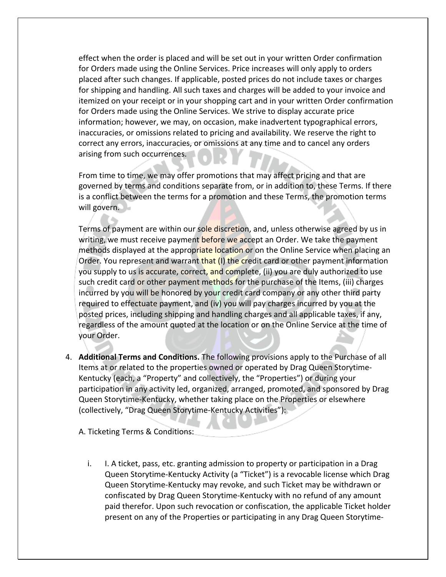effect when the order is placed and will be set out in your written Order confirmation for Orders made using the Online Services. Price increases will only apply to orders placed after such changes. If applicable, posted prices do not include taxes or charges for shipping and handling. All such taxes and charges will be added to your invoice and itemized on your receipt or in your shopping cart and in your written Order confirmation for Orders made using the Online Services. We strive to display accurate price information; however, we may, on occasion, make inadvertent typographical errors, inaccuracies, or omissions related to pricing and availability. We reserve the right to correct any errors, inaccuracies, or omissions at any time and to cancel any orders arising from such occurrences.

From time to time, we may offer promotions that may affect pricing and that are governed by terms and conditions separate from, or in addition to, these Terms. If there is a conflict between the terms for a promotion and these Terms, the promotion terms will govern.

Terms of payment are within our sole discretion, and, unless otherwise agreed by us in writing, we must receive payment before we accept an Order. We take the payment methods displayed at the appropriate location or on the Online Service when placing an Order. You represent and warrant that (I) the credit card or other payment information you supply to us is accurate, correct, and complete, (ii) you are duly authorized to use such credit card or other payment methods for the purchase of the Items, (iii) charges incurred by you will be honored by your credit card company or any other third party required to effectuate payment, and (iv) you will pay charges incurred by you at the posted prices, including shipping and handling charges and all applicable taxes, if any, regardless of the amount quoted at the location or on the Online Service at the time of your Order.

4. **Additional Terms and Conditions.** The following provisions apply to the Purchase of all Items at or related to the properties owned or operated by Drag Queen Storytime-Kentucky (each, a "Property" and collectively, the "Properties") or during your participation in any activity led, organized, arranged, promoted, and sponsored by Drag Queen Storytime-Kentucky, whether taking place on the Properties or elsewhere (collectively, "Drag Queen Storytime-Kentucky Activities"):

A. Ticketing Terms & Conditions:

i. I. A ticket, pass, etc. granting admission to property or participation in a Drag Queen Storytime-Kentucky Activity (a "Ticket") is a revocable license which Drag Queen Storytime-Kentucky may revoke, and such Ticket may be withdrawn or confiscated by Drag Queen Storytime-Kentucky with no refund of any amount paid therefor. Upon such revocation or confiscation, the applicable Ticket holder present on any of the Properties or participating in any Drag Queen Storytime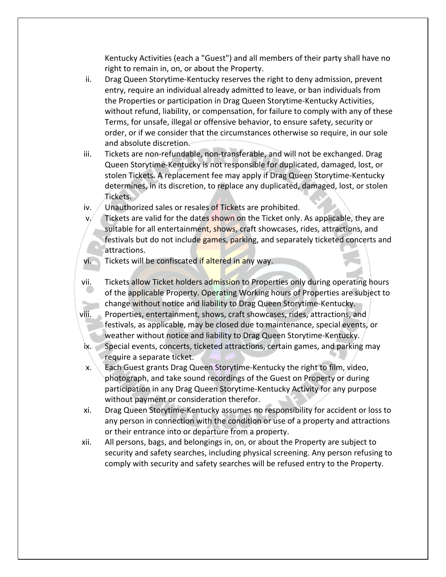Kentucky Activities (each a "Guest") and all members of their party shall have no right to remain in, on, or about the Property.

- ii. Drag Queen Storytime-Kentucky reserves the right to deny admission, prevent entry, require an individual already admitted to leave, or ban individuals from the Properties or participation in Drag Queen Storytime-Kentucky Activities, without refund, liability, or compensation, for failure to comply with any of these Terms, for unsafe, illegal or offensive behavior, to ensure safety, security or order, or if we consider that the circumstances otherwise so require, in our sole and absolute discretion.
- iii. Tickets are non-refundable, non-transferable, and will not be exchanged. Drag Queen Storytime-Kentucky is not responsible for duplicated, damaged, lost, or stolen Tickets. A replacement fee may apply if Drag Queen Storytime-Kentucky determines, in its discretion, to replace any duplicated, damaged, lost, or stolen Tickets.
- iv.  $\sqrt{ }$  Unauthorized sales or resales of Tickets are prohibited.
- v. Tickets are valid for the dates shown on the Ticket only. As applicable, they are suitable for all entertainment, shows, craft showcases, rides, attractions, and festivals but do not include games, parking, and separately ticketed concerts and attractions.
- vi. Tickets will be confiscated if altered in any way.
- vii. Tickets allow Ticket holders admission to Properties only during operating hours of the applicable Property. Operating Working hours of Properties are subject to change without notice and liability to Drag Queen Storytime-Kentucky.
- viii. Properties, entertainment, shows, craft showcases, rides, attractions, and festivals, as applicable, may be closed due to maintenance, special events, or weather without notice and liability to Drag Queen Storytime-Kentucky.
- ix. Special events, concerts, ticketed attractions, certain games, and parking may require a separate ticket.
- x. Each Guest grants Drag Queen Storytime-Kentucky the right to film, video, photograph, and take sound recordings of the Guest on Property or during participation in any Drag Queen Storytime-Kentucky Activity for any purpose without payment or consideration therefor.
- xi. Drag Queen Storytime-Kentucky assumes no responsibility for accident or loss to any person in connection with the condition or use of a property and attractions or their entrance into or departure from a property.
- xii. All persons, bags, and belongings in, on, or about the Property are subject to security and safety searches, including physical screening. Any person refusing to comply with security and safety searches will be refused entry to the Property.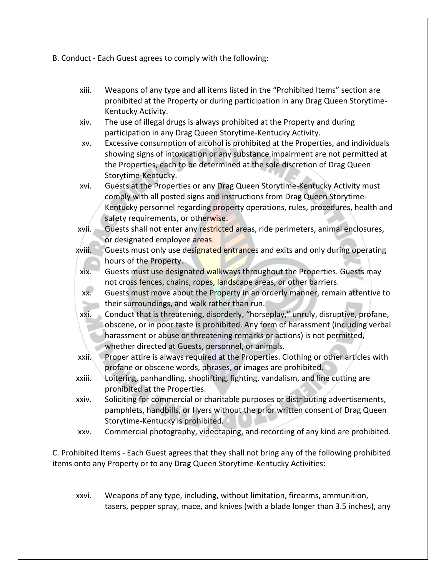B. Conduct - Each Guest agrees to comply with the following:

- xiii. Weapons of any type and all items listed in the "Prohibited Items" section are prohibited at the Property or during participation in any Drag Queen Storytime-Kentucky Activity.
- xiv. The use of illegal drugs is always prohibited at the Property and during participation in any Drag Queen Storytime-Kentucky Activity.
- xv. Excessive consumption of alcohol is prohibited at the Properties, and individuals showing signs of intoxication or any substance impairment are not permitted at the Properties, each to be determined at the sole discretion of Drag Queen Storytime-Kentucky.
- xvi. Guests at the Properties or any Drag Queen Storytime-Kentucky Activity must comply with all posted signs and instructions from Drag Queen Storytime-Kentucky personnel regarding property operations, rules, procedures, health and safety requirements, or otherwise.
- xvii. Guests shall not enter any restricted areas, ride perimeters, animal enclosures, or designated employee areas.
- xviii. Guests must only use designated entrances and exits and only during operating hours of the Property.
- xix. Guests must use designated walkways throughout the Properties. Guests may not cross fences, chains, ropes, landscape areas, or other barriers.
- xx. Guests must move about the Property in an orderly manner, remain attentive to their surroundings, and walk rather than run.
- xxi. Conduct that is threatening, disorderly, "horseplay," unruly, disruptive, profane, obscene, or in poor taste is prohibited. Any form of harassment (including verbal harassment or abuse or threatening remarks or actions) is not permitted, whether directed at Guests, personnel, or animals.
- xxii. Proper attire is always required at the Properties. Clothing or other articles with profane or obscene words, phrases, or images are prohibited.
- xxiii. Loitering, panhandling, shoplifting, fighting, vandalism, and line cutting are prohibited at the Properties.
- xxiv. Soliciting for commercial or charitable purposes or distributing advertisements, pamphlets, handbills, or flyers without the prior written consent of Drag Queen Storytime-Kentucky is prohibited.
- xxv. Commercial photography, videotaping, and recording of any kind are prohibited.

C. Prohibited Items - Each Guest agrees that they shall not bring any of the following prohibited items onto any Property or to any Drag Queen Storytime-Kentucky Activities:

xxvi. Weapons of any type, including, without limitation, firearms, ammunition, tasers, pepper spray, mace, and knives (with a blade longer than 3.5 inches), any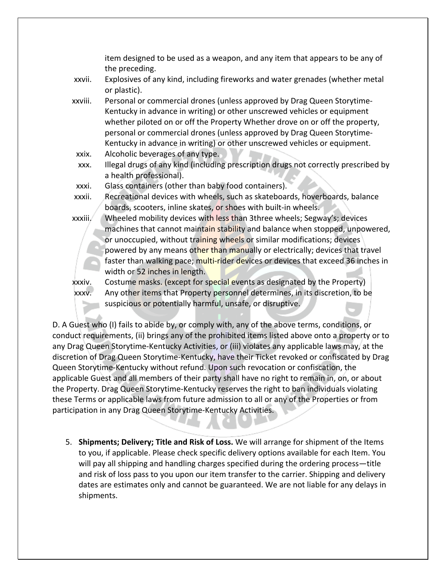item designed to be used as a weapon, and any item that appears to be any of the preceding.

- xxvii. Explosives of any kind, including fireworks and water grenades (whether metal or plastic).
- xxviii. Personal or commercial drones (unless approved by Drag Queen Storytime-Kentucky in advance in writing) or other unscrewed vehicles or equipment whether piloted on or off the Property Whether drove on or off the property, personal or commercial drones (unless approved by Drag Queen Storytime-Kentucky in advance in writing) or other unscrewed vehicles or equipment.
- xxix. Alcoholic beverages of any type.
- xxx. Illegal drugs of any kind (including prescription drugs not correctly prescribed by a health professional).
- xxxi. Glass containers (other than baby food containers).
- xxxii. Recreational devices with wheels, such as skateboards, hoverboards, balance boards, scooters, inline skates, or shoes with built-in wheels.
- xxxiii. Wheeled mobility devices with less than 3three wheels; Segway's; devices machines that cannot maintain stability and balance when stopped, unpowered, or unoccupied, without training wheels or similar modifications; devices powered by any means other than manually or electrically; devices that travel faster than walking pace; multi-rider devices or devices that exceed 36 inches in width or 52 inches in length.

xxxiv. Costume masks. (except for special events as designated by the Property) xxxv. Any other items that Property personnel determines, in its discretion, to be suspicious or potentially harmful, unsafe, or disruptive.

D. A Guest who (I) fails to abide by, or comply with, any of the above terms, conditions, or conduct requirements, (ii) brings any of the prohibited items listed above onto a property or to any Drag Queen Storytime-Kentucky Activities, or (iii) violates any applicable laws may, at the discretion of Drag Queen Storytime-Kentucky, have their Ticket revoked or confiscated by Drag Queen Storytime-Kentucky without refund. Upon such revocation or confiscation, the applicable Guest and all members of their party shall have no right to remain in, on, or about the Property. Drag Queen Storytime-Kentucky reserves the right to ban individuals violating these Terms or applicable laws from future admission to all or any of the Properties or from participation in any Drag Queen Storytime-Kentucky Activities.

5. **Shipments; Delivery; Title and Risk of Loss.** We will arrange for shipment of the Items to you, if applicable. Please check specific delivery options available for each Item. You will pay all shipping and handling charges specified during the ordering process—title and risk of loss pass to you upon our item transfer to the carrier. Shipping and delivery dates are estimates only and cannot be guaranteed. We are not liable for any delays in shipments.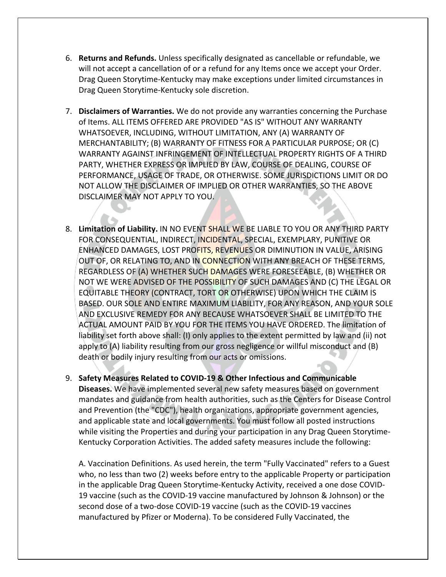- 6. **Returns and Refunds.** Unless specifically designated as cancellable or refundable, we will not accept a cancellation of or a refund for any Items once we accept your Order. Drag Queen Storytime-Kentucky may make exceptions under limited circumstances in Drag Queen Storytime-Kentucky sole discretion.
- 7. **Disclaimers of Warranties.** We do not provide any warranties concerning the Purchase of Items. ALL ITEMS OFFERED ARE PROVIDED "AS IS" WITHOUT ANY WARRANTY WHATSOEVER, INCLUDING, WITHOUT LIMITATION, ANY (A) WARRANTY OF MERCHANTABILITY; (B) WARRANTY OF FITNESS FOR A PARTICULAR PURPOSE; OR (C) WARRANTY AGAINST INFRINGEMENT OF INTELLECTUAL PROPERTY RIGHTS OF A THIRD PARTY, WHETHER EXPRESS OR IMPLIED BY LAW, COURSE OF DEALING, COURSE OF PERFORMANCE, USAGE OF TRADE, OR OTHERWISE. SOME JURISDICTIONS LIMIT OR DO NOT ALLOW THE DISCLAIMER OF IMPLIED OR OTHER WARRANTIES, SO THE ABOVE DISCLAIMER MAY NOT APPLY TO YOU.
- 8. **Limitation of Liability.** IN NO EVENT SHALL WE BE LIABLE TO YOU OR ANY THIRD PARTY FOR CONSEQUENTIAL, INDIRECT, INCIDENTAL, SPECIAL, EXEMPLARY, PUNITIVE OR ENHANCED DAMAGES, LOST PROFITS, REVENUES OR DIMINUTION IN VALUE, ARISING OUT OF, OR RELATING TO, AND IN CONNECTION WITH ANY BREACH OF THESE TERMS, REGARDLESS OF (A) WHETHER SUCH DAMAGES WERE FORESEEABLE, (B) WHETHER OR NOT WE WERE ADVISED OF THE POSSIBILITY OF SUCH DAMAGES AND (C) THE LEGAL OR EQUITABLE THEORY (CONTRACT, TORT OR OTHERWISE) UPON WHICH THE CLAIM IS BASED. OUR SOLE AND ENTIRE MAXIMUM LIABILITY, FOR ANY REASON, AND YOUR SOLE AND EXCLUSIVE REMEDY FOR ANY BECAUSE WHATSOEVER SHALL BE LIMITED TO THE ACTUAL AMOUNT PAID BY YOU FOR THE ITEMS YOU HAVE ORDERED. The limitation of liability set forth above shall: (I) only applies to the extent permitted by law and (ii) not apply to (A) liability resulting from our gross negligence or willful misconduct and (B) death or bodily injury resulting from our acts or omissions.

9. **Safety Measures Related to COVID-19 & Other Infectious and Communicable Diseases.** We have implemented several new safety measures based on government mandates and guidance from health authorities, such as the Centers for Disease Control and Prevention (the "CDC"), health organizations, appropriate government agencies, and applicable state and local governments. You must follow all posted instructions while visiting the Properties and during your participation in any Drag Queen Storytime-Kentucky Corporation Activities. The added safety measures include the following:

A. Vaccination Definitions. As used herein, the term "Fully Vaccinated" refers to a Guest who, no less than two (2) weeks before entry to the applicable Property or participation in the applicable Drag Queen Storytime-Kentucky Activity, received a one dose COVID-19 vaccine (such as the COVID-19 vaccine manufactured by Johnson & Johnson) or the second dose of a two-dose COVID-19 vaccine (such as the COVID-19 vaccines manufactured by Pfizer or Moderna). To be considered Fully Vaccinated, the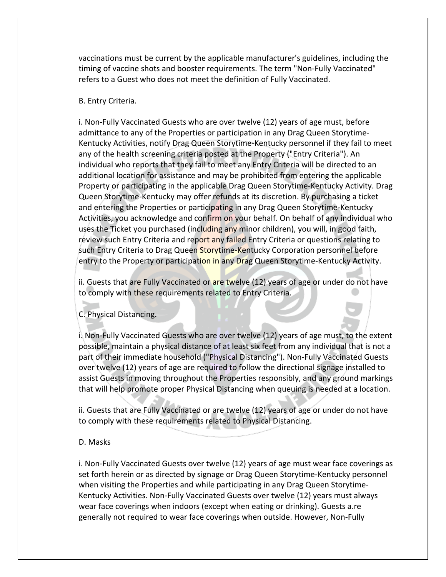vaccinations must be current by the applicable manufacturer's guidelines, including the timing of vaccine shots and booster requirements. The term "Non-Fully Vaccinated" refers to a Guest who does not meet the definition of Fully Vaccinated.

### B. Entry Criteria.

i. Non-Fully Vaccinated Guests who are over twelve (12) years of age must, before admittance to any of the Properties or participation in any Drag Queen Storytime-Kentucky Activities, notify Drag Queen Storytime-Kentucky personnel if they fail to meet any of the health screening criteria posted at the Property ("Entry Criteria"). An individual who reports that they fail to meet any Entry Criteria will be directed to an additional location for assistance and may be prohibited from entering the applicable Property or participating in the applicable Drag Queen Storytime-Kentucky Activity. Drag Queen Storytime-Kentucky may offer refunds at its discretion. By purchasing a ticket and entering the Properties or participating in any Drag Queen Storytime-Kentucky Activities, you acknowledge and confirm on your behalf. On behalf of any individual who uses the Ticket you purchased (including any minor children), you will, in good faith, review such Entry Criteria and report any failed Entry Criteria or questions relating to such Entry Criteria to Drag Queen Storytime-Kentucky Corporation personnel before entry to the Property or participation in any Drag Queen Storytime-Kentucky Activity.

ii. Guests that are Fully Vaccinated or are twelve (12) years of age or under do not have to comply with these requirements related to Entry Criteria.

C. Physical Distancing.

i. Non-Fully Vaccinated Guests who are over twelve (12) years of age must, to the extent possible, maintain a physical distance of at least six feet from any individual that is not a part of their immediate household ("Physical Distancing"). Non-Fully Vaccinated Guests over twelve (12) years of age are required to follow the directional signage installed to assist Guests in moving throughout the Properties responsibly, and any ground markings that will help promote proper Physical Distancing when queuing is needed at a location.

ii. Guests that are Fully Vaccinated or are twelve (12) years of age or under do not have to comply with these requirements related to Physical Distancing.

#### D. Masks

i. Non-Fully Vaccinated Guests over twelve (12) years of age must wear face coverings as set forth herein or as directed by signage or Drag Queen Storytime-Kentucky personnel when visiting the Properties and while participating in any Drag Queen Storytime-Kentucky Activities. Non-Fully Vaccinated Guests over twelve (12) years must always wear face coverings when indoors (except when eating or drinking). Guests a.re generally not required to wear face coverings when outside. However, Non-Fully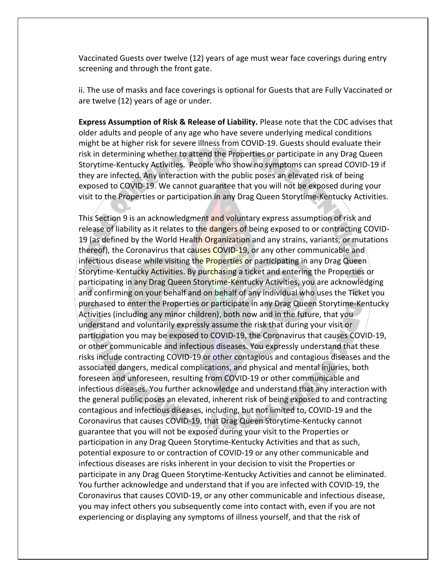Vaccinated Guests over twelve (12) years of age must wear face coverings during entry screening and through the front gate.

ii. The use of masks and face coverings is optional for Guests that are Fully Vaccinated or are twelve (12) years of age or under.

**Express Assumption of Risk & Release of Liability.** Please note that the CDC advises that older adults and people of any age who have severe underlying medical conditions might be at higher risk for severe illness from COVID-19. Guests should evaluate their risk in determining whether to attend the Properties or participate in any Drag Queen Storytime-Kentucky Activities. People who show no symptoms can spread COVID-19 if they are infected. Any interaction with the public poses an elevated risk of being exposed to COVID-19. We cannot guarantee that you will not be exposed during your visit to the Properties or participation in any Drag Queen Storytime-Kentucky Activities.

This Section 9 is an acknowledgment and voluntary express assumption of risk and release of liability as it relates to the dangers of being exposed to or contracting COVID-19 (as defined by the World Health Organization and any strains, variants, or mutations thereof), the Coronavirus that causes COVID-19, or any other communicable and infectious disease while visiting the Properties or participating in any Drag Queen Storytime-Kentucky Activities. By purchasing a ticket and entering the Properties or participating in any Drag Queen Storytime-Kentucky Activities, you are acknowledging and confirming on your behalf and on behalf of any individual who uses the Ticket you purchased to enter the Properties or participate in any Drag Queen Storytime-Kentucky Activities (including any minor children), both now and in the future, that you understand and voluntarily expressly assume the risk that during your visit or participation you may be exposed to COVID-19, the Coronavirus that causes COVID-19, or other communicable and infectious diseases. You expressly understand that these risks include contracting COVID-19 or other contagious and contagious diseases and the associated dangers, medical complications, and physical and mental injuries, both foreseen and unforeseen, resulting from COVID-19 or other communicable and infectious diseases. You further acknowledge and understand that any interaction with the general public poses an elevated, inherent risk of being exposed to and contracting contagious and infectious diseases, including, but not limited to, COVID-19 and the Coronavirus that causes COVID-19, that Drag Queen Storytime-Kentucky cannot guarantee that you will not be exposed during your visit to the Properties or participation in any Drag Queen Storytime-Kentucky Activities and that as such, potential exposure to or contraction of COVID-19 or any other communicable and infectious diseases are risks inherent in your decision to visit the Properties or participate in any Drag Queen Storytime-Kentucky Activities and cannot be eliminated. You further acknowledge and understand that if you are infected with COVID-19, the Coronavirus that causes COVID-19, or any other communicable and infectious disease, you may infect others you subsequently come into contact with, even if you are not experiencing or displaying any symptoms of illness yourself, and that the risk of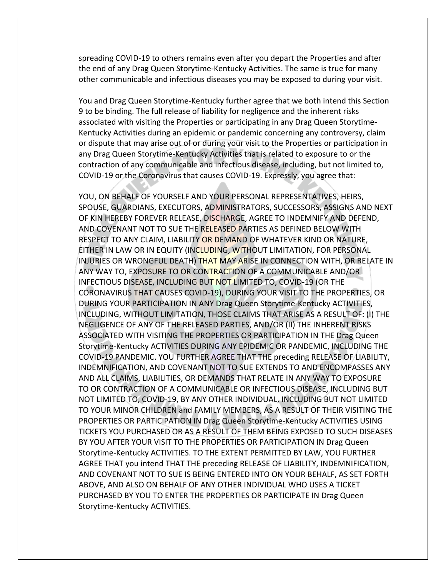spreading COVID-19 to others remains even after you depart the Properties and after the end of any Drag Queen Storytime-Kentucky Activities. The same is true for many other communicable and infectious diseases you may be exposed to during your visit.

You and Drag Queen Storytime-Kentucky further agree that we both intend this Section 9 to be binding. The full release of liability for negligence and the inherent risks associated with visiting the Properties or participating in any Drag Queen Storytime-Kentucky Activities during an epidemic or pandemic concerning any controversy, claim or dispute that may arise out of or during your visit to the Properties or participation in any Drag Queen Storytime-Kentucky Activities that is related to exposure to or the contraction of any communicable and infectious disease, including, but not limited to, COVID-19 or the Coronavirus that causes COVID-19. Expressly, you agree that:

YOU, ON BEHALF OF YOURSELF AND YOUR PERSONAL REPRESENTATIVES, HEIRS, SPOUSE, GUARDIANS, EXECUTORS, ADMINISTRATORS, SUCCESSORS, ASSIGNS AND NEXT OF KIN HEREBY FOREVER RELEASE, DISCHARGE, AGREE TO INDEMNIFY AND DEFEND, AND COVENANT NOT TO SUE THE RELEASED PARTIES AS DEFINED BELOW WITH RESPECT TO ANY CLAIM, LIABILITY OR DEMAND OF WHATEVER KIND OR NATURE, EITHER IN LAW OR IN EQUITY (INCLUDING, WITHOUT LIMITATION, FOR PERSONAL INJURIES OR WRONGFUL DEATH) THAT MAY ARISE IN CONNECTION WITH, OR RELATE IN ANY WAY TO, EXPOSURE TO OR CONTRACTION OF A COMMUNICABLE AND/OR INFECTIOUS DISEASE, INCLUDING BUT NOT LIMITED TO, COVID-19 (OR THE CORONAVIRUS THAT CAUSES COVID-19), DURING YOUR VISIT TO THE PROPERTIES, OR DURING YOUR PARTICIPATION IN ANY Drag Queen Storytime-Kentucky ACTIVITIES, INCLUDING, WITHOUT LIMITATION, THOSE CLAIMS THAT ARISE AS A RESULT OF: (I) THE NEGLIGENCE OF ANY OF THE RELEASED PARTIES, AND/OR (II) THE INHERENT RISKS ASSOCIATED WITH VISITING THE PROPERTIES OR PARTICIPATION IN THE Drag Queen Storytime-Kentucky ACTIVITIES DURING ANY EPIDEMIC OR PANDEMIC, INCLUDING THE COVID-19 PANDEMIC. YOU FURTHER AGREE THAT THE preceding RELEASE OF LIABILITY, INDEMNIFICATION, AND COVENANT NOT TO SUE EXTENDS TO AND ENCOMPASSES ANY AND ALL CLAIMS, LIABILITIES, OR DEMANDS THAT RELATE IN ANY WAY TO EXPOSURE TO OR CONTRACTION OF A COMMUNICABLE OR INFECTIOUS DISEASE, INCLUDING BUT NOT LIMITED TO, COVID-19, BY ANY OTHER INDIVIDUAL, INCLUDING BUT NOT LIMITED TO YOUR MINOR CHILDREN and FAMILY MEMBERS, AS A RESULT OF THEIR VISITING THE PROPERTIES OR PARTICIPATION IN Drag Queen Storytime-Kentucky ACTIVITIES USING TICKETS YOU PURCHASED OR AS A RESULT OF THEM BEING EXPOSED TO SUCH DISEASES BY YOU AFTER YOUR VISIT TO THE PROPERTIES OR PARTICIPATION IN Drag Queen Storytime-Kentucky ACTIVITIES. TO THE EXTENT PERMITTED BY LAW, YOU FURTHER AGREE THAT you intend THAT THE preceding RELEASE OF LIABILITY, INDEMNIFICATION, AND COVENANT NOT TO SUE IS BEING ENTERED INTO ON YOUR BEHALF, AS SET FORTH ABOVE, AND ALSO ON BEHALF OF ANY OTHER INDIVIDUAL WHO USES A TICKET PURCHASED BY YOU TO ENTER THE PROPERTIES OR PARTICIPATE IN Drag Queen Storytime-Kentucky ACTIVITIES.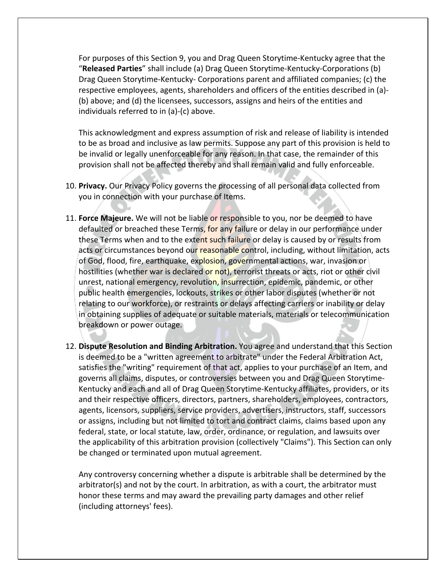For purposes of this Section 9, you and Drag Queen Storytime-Kentucky agree that the "**Released Parties**" shall include (a) Drag Queen Storytime-Kentucky-Corporations (b) Drag Queen Storytime-Kentucky- Corporations parent and affiliated companies; (c) the respective employees, agents, shareholders and officers of the entities described in (a)- (b) above; and (d) the licensees, successors, assigns and heirs of the entities and individuals referred to in (a)-(c) above.

This acknowledgment and express assumption of risk and release of liability is intended to be as broad and inclusive as law permits. Suppose any part of this provision is held to be invalid or legally unenforceable for any reason. In that case, the remainder of this provision shall not be affected thereby and shall remain valid and fully enforceable.

- 10. **Privacy.** Our Privacy Policy governs the processing of all personal data collected from you in connection with your purchase of Items.
- 11. **Force Majeure.** We will not be liable or responsible to you, nor be deemed to have defaulted or breached these Terms, for any failure or delay in our performance under these Terms when and to the extent such failure or delay is caused by or results from acts or circumstances beyond our reasonable control, including, without limitation, acts of God, flood, fire, earthquake, explosion, governmental actions, war, invasion or hostilities (whether war is declared or not), terrorist threats or acts, riot or other civil unrest, national emergency, revolution, insurrection, epidemic, pandemic, or other public health emergencies, lockouts, strikes or other labor disputes (whether or not relating to our workforce), or restraints or delays affecting carriers or inability or delay in obtaining supplies of adequate or suitable materials, materials or telecommunication breakdown or power outage.
- 12. **Dispute Resolution and Binding Arbitration.** You agree and understand that this Section is deemed to be a "written agreement to arbitrate" under the Federal Arbitration Act, satisfies the "writing" requirement of that act, applies to your purchase of an Item, and governs all claims, disputes, or controversies between you and Drag Queen Storytime-Kentucky and each and all of Drag Queen Storytime-Kentucky affiliates, providers, or its and their respective officers, directors, partners, shareholders, employees, contractors, agents, licensors, suppliers, service providers, advertisers, instructors, staff, successors or assigns, including but not limited to tort and contract claims, claims based upon any federal, state, or local statute, law, order, ordinance, or regulation, and lawsuits over the applicability of this arbitration provision (collectively "Claims"). This Section can only be changed or terminated upon mutual agreement.

Any controversy concerning whether a dispute is arbitrable shall be determined by the arbitrator(s) and not by the court. In arbitration, as with a court, the arbitrator must honor these terms and may award the prevailing party damages and other relief (including attorneys' fees).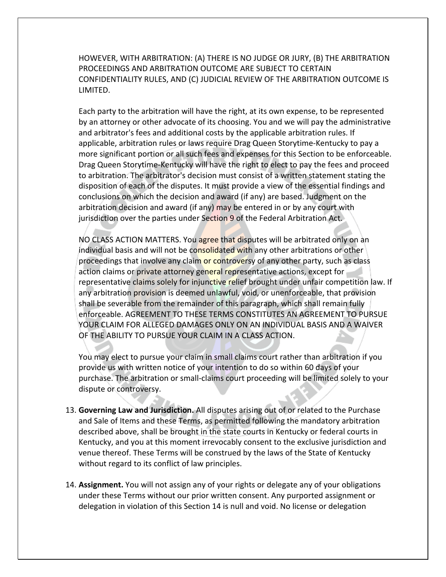HOWEVER, WITH ARBITRATION: (A) THERE IS NO JUDGE OR JURY, (B) THE ARBITRATION PROCEEDINGS AND ARBITRATION OUTCOME ARE SUBJECT TO CERTAIN CONFIDENTIALITY RULES, AND (C) JUDICIAL REVIEW OF THE ARBITRATION OUTCOME IS LIMITED.

Each party to the arbitration will have the right, at its own expense, to be represented by an attorney or other advocate of its choosing. You and we will pay the administrative and arbitrator's fees and additional costs by the applicable arbitration rules. If applicable, arbitration rules or laws require Drag Queen Storytime-Kentucky to pay a more significant portion or all such fees and expenses for this Section to be enforceable. Drag Queen Storytime-Kentucky will have the right to elect to pay the fees and proceed to arbitration. The arbitrator's decision must consist of a written statement stating the disposition of each of the disputes. It must provide a view of the essential findings and conclusions on which the decision and award (if any) are based. Judgment on the arbitration decision and award (if any) may be entered in or by any court with jurisdiction over the parties under Section 9 of the Federal Arbitration Act.

NO CLASS ACTION MATTERS. You agree that disputes will be arbitrated only on an individual basis and will not be consolidated with any other arbitrations or other proceedings that involve any claim or controversy of any other party, such as class action claims or private attorney general representative actions, except for representative claims solely for injunctive relief brought under unfair competition law. If any arbitration provision is deemed unlawful, void, or unenforceable, that provision shall be severable from the remainder of this paragraph, which shall remain fully enforceable. AGREEMENT TO THESE TERMS CONSTITUTES AN AGREEMENT TO PURSUE YOUR CLAIM FOR ALLEGED DAMAGES ONLY ON AN INDIVIDUAL BASIS AND A WAIVER OF THE ABILITY TO PURSUE YOUR CLAIM IN A CLASS ACTION.

You may elect to pursue your claim in small claims court rather than arbitration if you provide us with written notice of your intention to do so within 60 days of your purchase. The arbitration or small-claims court proceeding will be limited solely to your dispute or controversy.

- 13. **Governing Law and Jurisdiction.** All disputes arising out of or related to the Purchase and Sale of Items and these Terms, as permitted following the mandatory arbitration described above, shall be brought in the state courts in Kentucky or federal courts in Kentucky, and you at this moment irrevocably consent to the exclusive jurisdiction and venue thereof. These Terms will be construed by the laws of the State of Kentucky without regard to its conflict of law principles.
- 14. **Assignment.** You will not assign any of your rights or delegate any of your obligations under these Terms without our prior written consent. Any purported assignment or delegation in violation of this Section 14 is null and void. No license or delegation